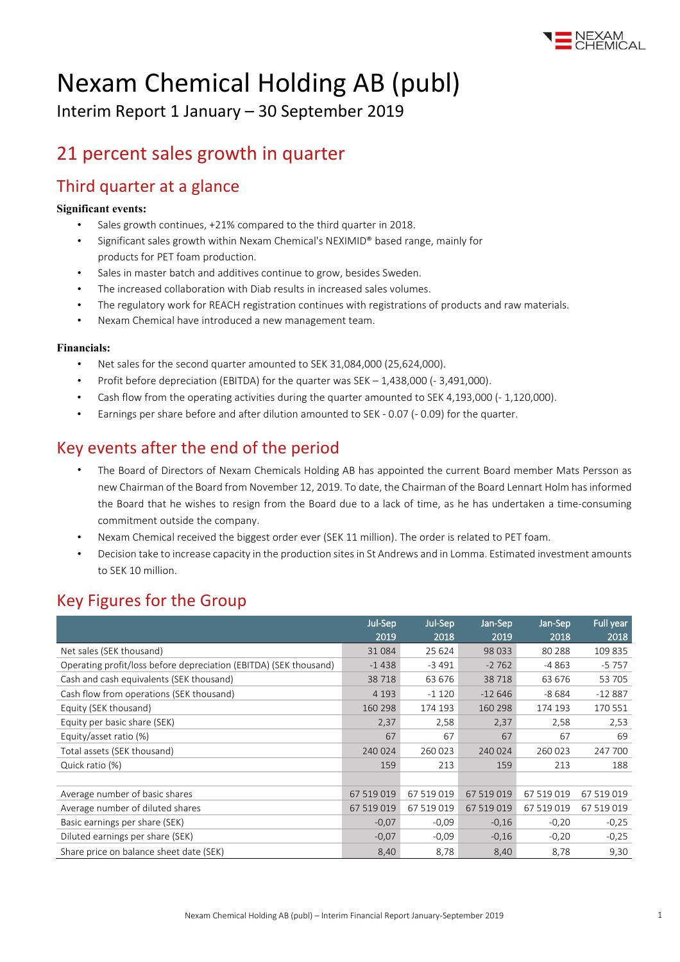

# Nexam Chemical Holding AB (publ)

Interim Report 1 January – 30 September 2019

## 21 percent sales growth in quarter

### Third quarter at a glance

#### **Significant events:**

- Sales growth continues, +21% compared to the third quarter in 2018.
- Significant sales growth within Nexam Chemical's NEXIMID® based range, mainly for products for PET foam production.
- Sales in master batch and additives continue to grow, besides Sweden.
- The increased collaboration with Diab results in increased sales volumes.
- The regulatory work for REACH registration continues with registrations of products and raw materials.
- Nexam Chemical have introduced a new management team.

#### **Financials:**

- Net sales for the second quarter amounted to SEK 31,084,000 (25,624,000).
- Profit before depreciation (EBITDA) for the quarter was SEK 1,438,000 (- 3,491,000).
- Cash flow from the operating activities during the quarter amounted to SEK 4,193,000 (- 1,120,000).
- Earnings per share before and after dilution amounted to SEK 0.07 (- 0.09) for the quarter.

### Key events after the end of the period

- The Board of Directors of Nexam Chemicals Holding AB has appointed the current Board member Mats Persson as new Chairman of the Board from November 12, 2019. To date, the Chairman of the Board Lennart Holm has informed the Board that he wishes to resign from the Board due to a lack of time, as he has undertaken a time-consuming commitment outside the company.
- Nexam Chemical received the biggest order ever (SEK 11 million). The order is related to PET foam.
- Decision take to increase capacity in the production sites in St Andrews and in Lomma. Estimated investment amounts to SEK 10 million.

### Key Figures for the Group

|                                                                   | Jul-Sep<br>2019 | Jul-Sep<br>2018 | Jan-Sep<br>2019 | Jan-Sep<br>2018 | Full year<br>2018 |
|-------------------------------------------------------------------|-----------------|-----------------|-----------------|-----------------|-------------------|
| Net sales (SEK thousand)                                          | 31084           | 25 624          | 98 0 33         | 80 288          | 109 835           |
| Operating profit/loss before depreciation (EBITDA) (SEK thousand) | $-1438$         | $-3491$         | $-2762$         | $-4863$         | $-5757$           |
| Cash and cash equivalents (SEK thousand)                          | 38718           | 63 676          | 38718           | 63 676          | 53 705            |
| Cash flow from operations (SEK thousand)                          | 4 1 9 3         | $-1120$         | $-12646$        | $-8684$         | $-12887$          |
| Equity (SEK thousand)                                             | 160 298         | 174 193         | 160 298         | 174 193         | 170 551           |
| Equity per basic share (SEK)                                      | 2,37            | 2,58            | 2,37            | 2,58            | 2,53              |
| Equity/asset ratio (%)                                            | 67              | 67              | 67              | 67              | 69                |
| Total assets (SEK thousand)                                       | 240024          | 260 023         | 240 024         | 260 023         | 247 700           |
| Quick ratio (%)                                                   | 159             | 213             | 159             | 213             | 188               |
|                                                                   |                 |                 |                 |                 |                   |
| Average number of basic shares                                    | 67 519 019      | 67 519 019      | 67 519 019      | 67 519 019      | 67 519 019        |
| Average number of diluted shares                                  | 67 519 019      | 67 519 019      | 67 519 019      | 67 519 019      | 67 519 019        |
| Basic earnings per share (SEK)                                    | $-0.07$         | $-0,09$         | $-0,16$         | $-0,20$         | $-0,25$           |
| Diluted earnings per share (SEK)                                  | $-0.07$         | $-0,09$         | $-0,16$         | $-0,20$         | $-0,25$           |
| Share price on balance sheet date (SEK)                           | 8,40            | 8,78            | 8,40            | 8,78            | 9,30              |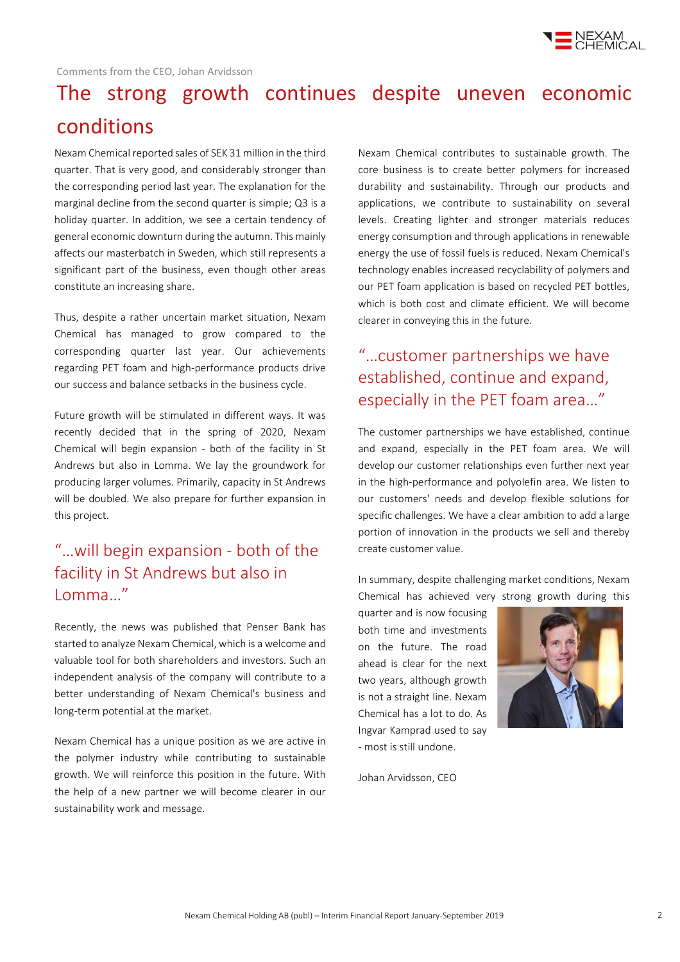

# The strong growth continues despite uneven economic conditions

Nexam Chemical reported sales of SEK 31 million in the third quarter. That is very good, and considerably stronger than the corresponding period last year. The explanation for the marginal decline from the second quarter is simple; Q3 is a holiday quarter. In addition, we see a certain tendency of general economic downturn during the autumn. This mainly affects our masterbatch in Sweden, which still represents a significant part of the business, even though other areas constitute an increasing share.

Thus, despite a rather uncertain market situation, Nexam Chemical has managed to grow compared to the corresponding quarter last year. Our achievements regarding PET foam and high-performance products drive our success and balance setbacks in the business cycle.

Future growth will be stimulated in different ways. It was recently decided that in the spring of 2020, Nexam Chemical will begin expansion - both of the facility in St Andrews but also in Lomma. We lay the groundwork for producing larger volumes. Primarily, capacity in St Andrews will be doubled. We also prepare for further expansion in this project.

### "…will begin expansion - both of the facility in St Andrews but also in Lomma…"

Recently, the news was published that Penser Bank has started to analyze Nexam Chemical, which is a welcome and valuable tool for both shareholders and investors. Such an independent analysis of the company will contribute to a better understanding of Nexam Chemical's business and long-term potential at the market.

Nexam Chemical has a unique position as we are active in the polymer industry while contributing to sustainable growth. We will reinforce this position in the future. With the help of a new partner we will become clearer in our sustainability work and message.

Nexam Chemical contributes to sustainable growth. The core business is to create better polymers for increased durability and sustainability. Through our products and applications, we contribute to sustainability on several levels. Creating lighter and stronger materials reduces energy consumption and through applications in renewable energy the use of fossil fuels is reduced. Nexam Chemical's technology enables increased recyclability of polymers and our PET foam application is based on recycled PET bottles, which is both cost and climate efficient. We will become clearer in conveying this in the future.

### "…customer partnerships we have established, continue and expand, especially in the PET foam area…"

The customer partnerships we have established, continue and expand, especially in the PET foam area. We will develop our customer relationships even further next year in the high-performance and polyolefin area. We listen to our customers' needs and develop flexible solutions for specific challenges. We have a clear ambition to add a large portion of innovation in the products we sell and thereby create customer value.

In summary, despite challenging market conditions, Nexam Chemical has achieved very strong growth during this

quarter and is now focusing both time and investments on the future. The road ahead is clear for the next two years, although growth is not a straight line. Nexam Chemical has a lot to do. As Ingvar Kamprad used to say - most is still undone.

Johan Arvidsson, CEO

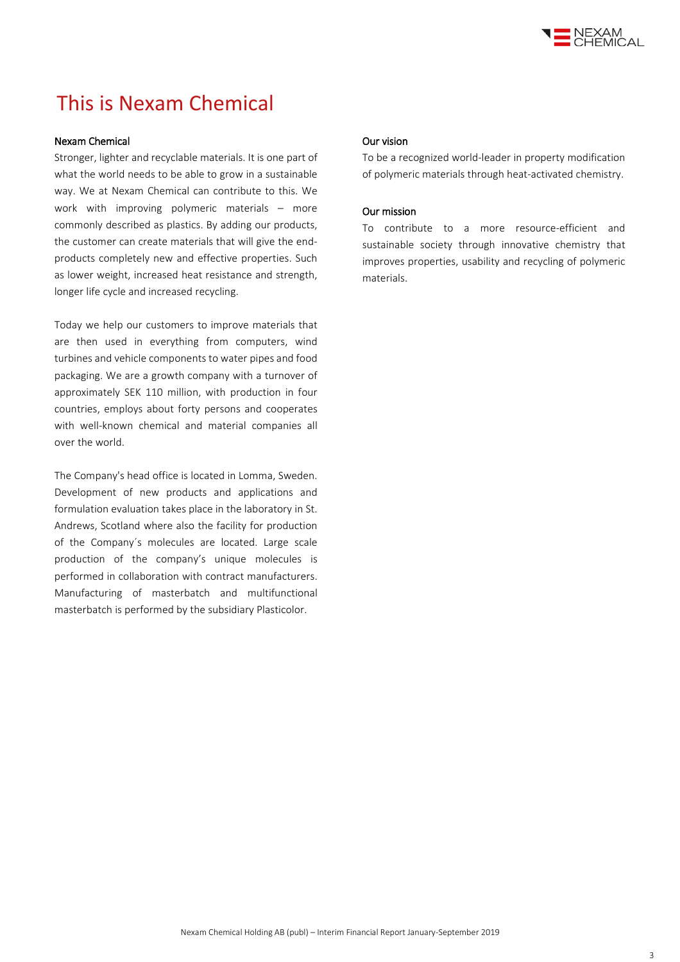

## This is Nexam Chemical

#### Nexam Chemical

Stronger, lighter and recyclable materials. It is one part of what the world needs to be able to grow in a sustainable way. We at Nexam Chemical can contribute to this. We work with improving polymeric materials – more commonly described as plastics. By adding our products, the customer can create materials that will give the endproducts completely new and effective properties. Such as lower weight, increased heat resistance and strength, longer life cycle and increased recycling.

Today we help our customers to improve materials that are then used in everything from computers, wind turbines and vehicle components to water pipes and food packaging. We are a growth company with a turnover of approximately SEK 110 million, with production in four countries, employs about forty persons and cooperates with well-known chemical and material companies all over the world.

The Company's head office is located in Lomma, Sweden. Development of new products and applications and formulation evaluation takes place in the laboratory in St. Andrews, Scotland where also the facility for production of the Company´s molecules are located. Large scale production of the company's unique molecules is performed in collaboration with contract manufacturers. Manufacturing of masterbatch and multifunctional masterbatch is performed by the subsidiary Plasticolor.

#### Our vision

To be a recognized world-leader in property modification of polymeric materials through heat-activated chemistry.

#### Our mission

To contribute to a more resource-efficient and sustainable society through innovative chemistry that improves properties, usability and recycling of polymeric materials.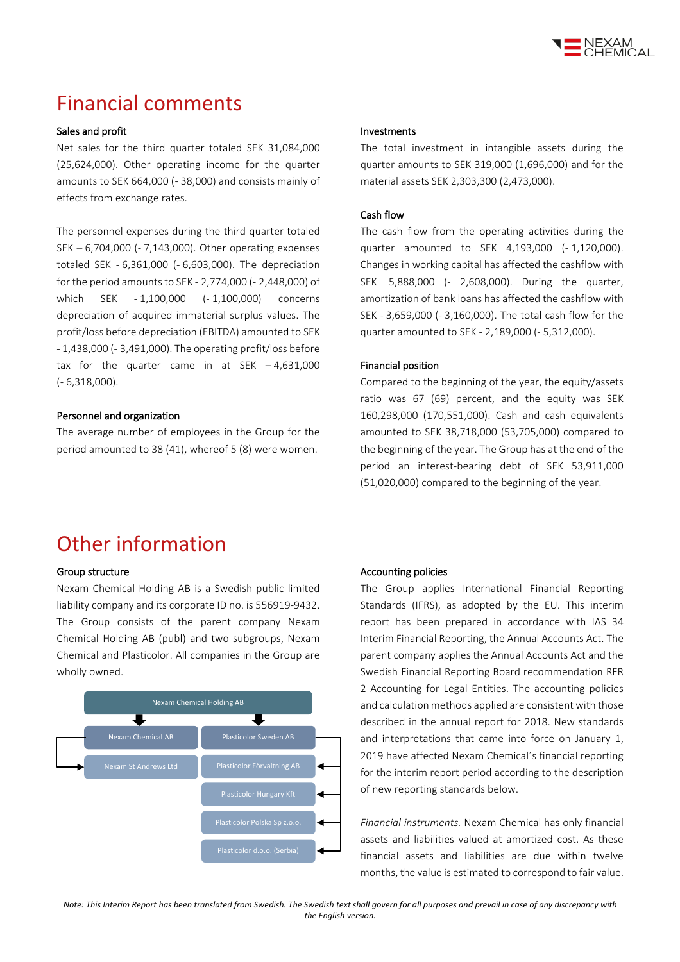

## Financial comments

#### Sales and profit

Net sales for the third quarter totaled SEK 31,084,000 (25,624,000). Other operating income for the quarter amounts to SEK 664,000 (- 38,000) and consists mainly of effects from exchange rates.

The personnel expenses during the third quarter totaled SEK – 6,704,000 (- 7,143,000). Other operating expenses totaled SEK - 6,361,000 (- 6,603,000). The depreciation for the period amounts to SEK - 2,774,000 (- 2,448,000) of which SEK - 1,100,000 (- 1,100,000) concerns depreciation of acquired immaterial surplus values. The profit/loss before depreciation (EBITDA) amounted to SEK - 1,438,000 (- 3,491,000). The operating profit/loss before tax for the quarter came in at SEK  $-4,631,000$ (- 6,318,000).

#### Personnel and organization

The average number of employees in the Group for the period amounted to 38 (41), whereof 5 (8) were women.

#### Investments

The total investment in intangible assets during the quarter amounts to SEK 319,000 (1,696,000) and for the material assets SEK 2,303,300 (2,473,000).

#### Cash flow

The cash flow from the operating activities during the quarter amounted to SEK 4,193,000 (- 1,120,000). Changes in working capital has affected the cashflow with SEK 5,888,000 (- 2,608,000). During the quarter, amortization of bank loans has affected the cashflow with SEK - 3,659,000 (- 3,160,000). The total cash flow for the quarter amounted to SEK - 2,189,000 (- 5,312,000).

#### Financial position

Compared to the beginning of the year, the equity/assets ratio was 67 (69) percent, and the equity was SEK 160,298,000 (170,551,000). Cash and cash equivalents amounted to SEK 38,718,000 (53,705,000) compared to the beginning of the year. The Group has at the end of the period an interest-bearing debt of SEK 53,911,000 (51,020,000) compared to the beginning of the year.

## Other information

#### Group structure

Nexam Chemical Holding AB is a Swedish public limited liability company and its corporate ID no. is 556919-9432. The Group consists of the parent company Nexam Chemical Holding AB (publ) and two subgroups, Nexam Chemical and Plasticolor. All companies in the Group are wholly owned.



#### Accounting policies

The Group applies International Financial Reporting Standards (IFRS), as adopted by the EU. This interim report has been prepared in accordance with IAS 34 Interim Financial Reporting, the Annual Accounts Act. The parent company applies the Annual Accounts Act and the Swedish Financial Reporting Board recommendation RFR 2 Accounting for Legal Entities. The accounting policies and calculation methods applied are consistent with those described in the annual report for 2018. New standards and interpretations that came into force on January 1, 2019 have affected Nexam Chemical´s financial reporting for the interim report period according to the description of new reporting standards below.

*Financial instruments.* Nexam Chemical has only financial assets and liabilities valued at amortized cost. As these financial assets and liabilities are due within twelve months, the value is estimated to correspond to fair value.

*Note: This Interim Report has been translated from Swedish. The Swedish text shall govern for all purposes and prevail in case of any discrepancy with the English version.*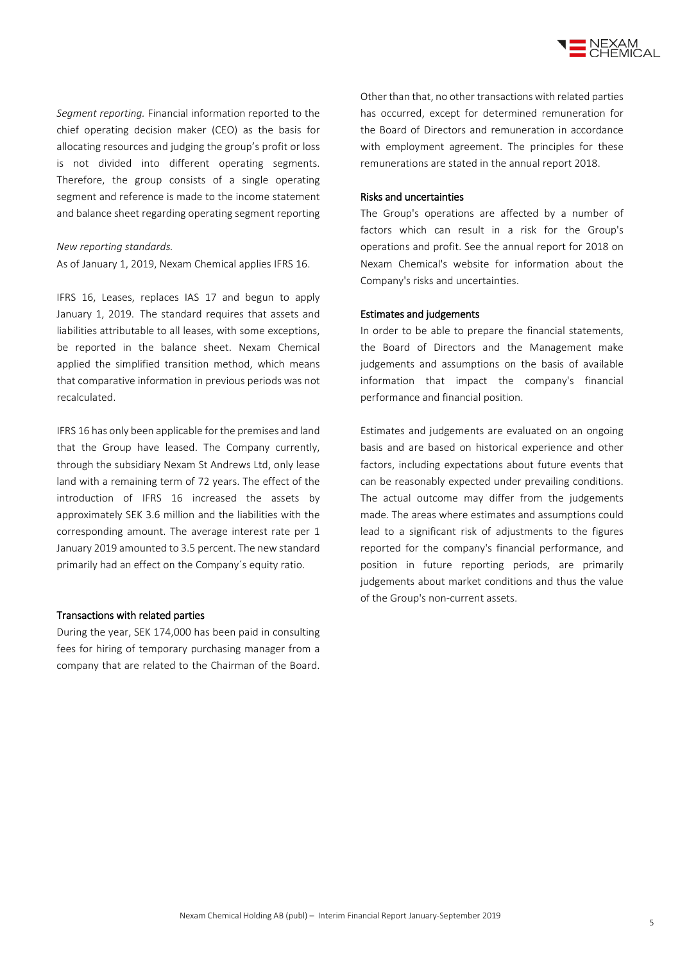

*Segment reporting.* Financial information reported to the chief operating decision maker (CEO) as the basis for allocating resources and judging the group's profit or loss is not divided into different operating segments. Therefore, the group consists of a single operating segment and reference is made to the income statement and balance sheet regarding operating segment reporting

#### *New reporting standards.*

As of January 1, 2019, Nexam Chemical applies IFRS 16.

IFRS 16, Leases, replaces IAS 17 and begun to apply January 1, 2019. The standard requires that assets and liabilities attributable to all leases, with some exceptions, be reported in the balance sheet. Nexam Chemical applied the simplified transition method, which means that comparative information in previous periods was not recalculated.

IFRS 16 has only been applicable for the premises and land that the Group have leased. The Company currently, through the subsidiary Nexam St Andrews Ltd, only lease land with a remaining term of 72 years. The effect of the introduction of IFRS 16 increased the assets by approximately SEK 3.6 million and the liabilities with the corresponding amount. The average interest rate per 1 January 2019 amounted to 3.5 percent. The new standard primarily had an effect on the Company´s equity ratio.

#### Transactions with related parties

During the year, SEK 174,000 has been paid in consulting fees for hiring of temporary purchasing manager from a company that are related to the Chairman of the Board. Other than that, no other transactions with related parties has occurred, except for determined remuneration for the Board of Directors and remuneration in accordance with employment agreement. The principles for these remunerations are stated in the annual report 2018.

#### Risks and uncertainties

The Group's operations are affected by a number of factors which can result in a risk for the Group's operations and profit. See the annual report for 2018 on Nexam Chemical's website for information about the Company's risks and uncertainties.

#### Estimates and judgements

In order to be able to prepare the financial statements, the Board of Directors and the Management make judgements and assumptions on the basis of available information that impact the company's financial performance and financial position.

Estimates and judgements are evaluated on an ongoing basis and are based on historical experience and other factors, including expectations about future events that can be reasonably expected under prevailing conditions. The actual outcome may differ from the judgements made. The areas where estimates and assumptions could lead to a significant risk of adjustments to the figures reported for the company's financial performance, and position in future reporting periods, are primarily judgements about market conditions and thus the value of the Group's non-current assets.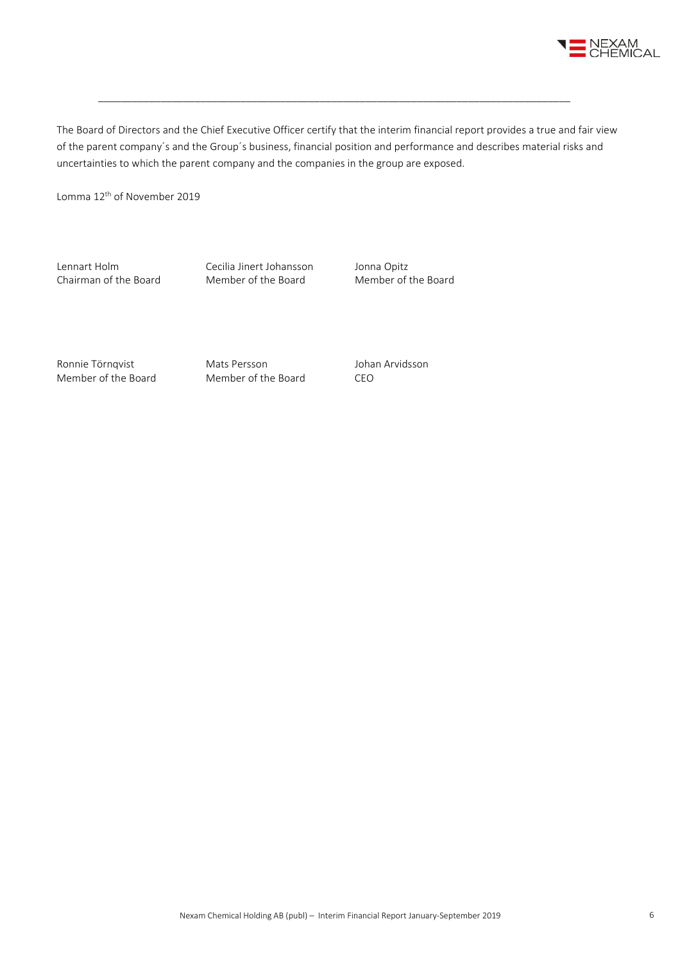

The Board of Directors and the Chief Executive Officer certify that the interim financial report provides a true and fair view of the parent company´s and the Group´s business, financial position and performance and describes material risks and uncertainties to which the parent company and the companies in the group are exposed.

\_\_\_\_\_\_\_\_\_\_\_\_\_\_\_\_\_\_\_\_\_\_\_\_\_\_\_\_\_\_\_\_\_\_\_\_\_\_\_\_\_\_\_\_\_\_\_\_\_\_\_\_\_\_\_\_\_\_\_\_\_\_\_\_\_\_\_\_\_\_\_\_\_\_\_\_\_\_\_\_\_\_\_

Lomma 12th of November 2019

Lennart Holm Cecilia Jinert Johansson Jonna Opitz<br>
Chairman of the Board Member of the Board Member of the Board Chairman of the Board

Ronnie Törnqvist Mats Persson and Johan Arvidsson Member of the Board Member of the Board CEO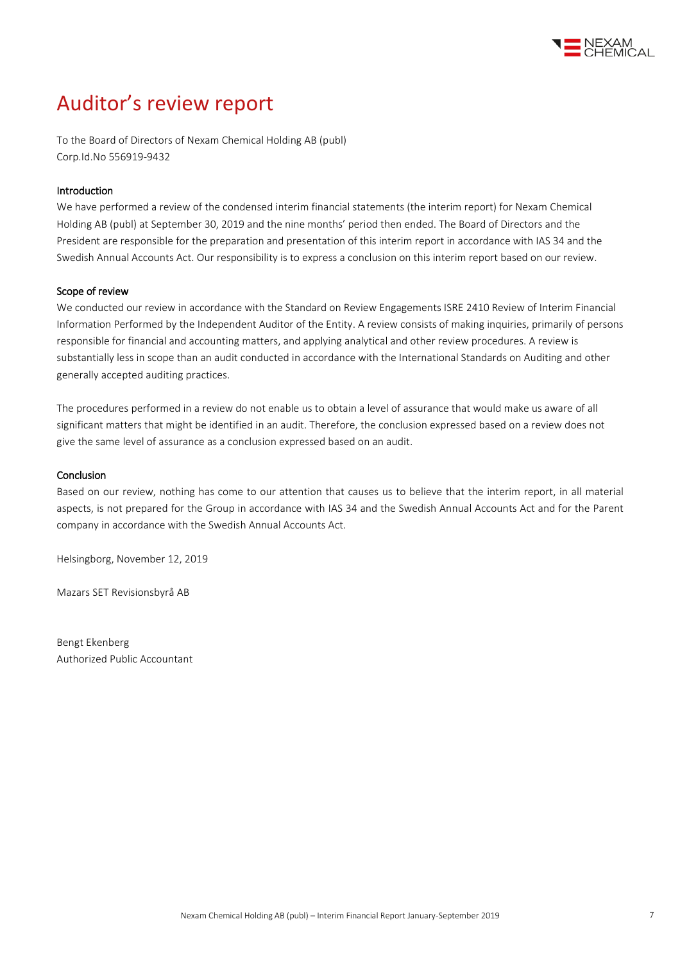

## Auditor's review report

To the Board of Directors of Nexam Chemical Holding AB (publ) Corp.Id.No 556919-9432

#### Introduction

We have performed a review of the condensed interim financial statements (the interim report) for Nexam Chemical Holding AB (publ) at September 30, 2019 and the nine months' period then ended. The Board of Directors and the President are responsible for the preparation and presentation of this interim report in accordance with IAS 34 and the Swedish Annual Accounts Act. Our responsibility is to express a conclusion on this interim report based on our review.

#### Scope of review

We conducted our review in accordance with the Standard on Review Engagements ISRE 2410 Review of Interim Financial Information Performed by the Independent Auditor of the Entity. A review consists of making inquiries, primarily of persons responsible for financial and accounting matters, and applying analytical and other review procedures. A review is substantially less in scope than an audit conducted in accordance with the International Standards on Auditing and other generally accepted auditing practices.

The procedures performed in a review do not enable us to obtain a level of assurance that would make us aware of all significant matters that might be identified in an audit. Therefore, the conclusion expressed based on a review does not give the same level of assurance as a conclusion expressed based on an audit.

#### **Conclusion**

Based on our review, nothing has come to our attention that causes us to believe that the interim report, in all material aspects, is not prepared for the Group in accordance with IAS 34 and the Swedish Annual Accounts Act and for the Parent company in accordance with the Swedish Annual Accounts Act.

Helsingborg, November 12, 2019

Mazars SET Revisionsbyrå AB

Bengt Ekenberg Authorized Public Accountant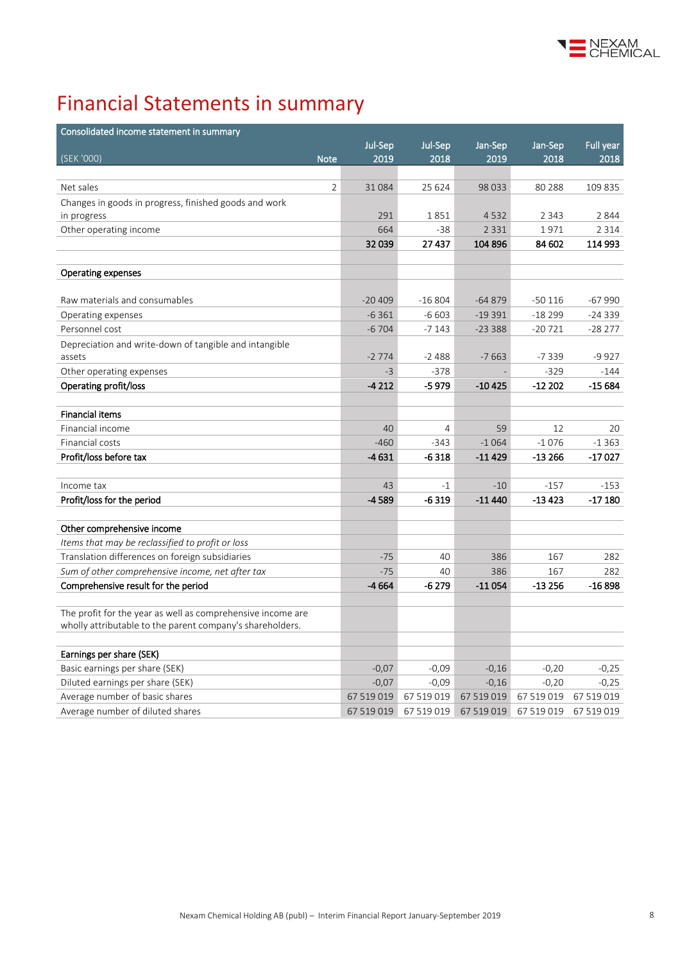

# Financial Statements in summary

| Consolidated income statement in summary                                       |            |                |            |            |            |
|--------------------------------------------------------------------------------|------------|----------------|------------|------------|------------|
|                                                                                | Jul-Sep    | Jul-Sep        | Jan-Sep    | Jan-Sep    | Full year  |
| (SEK '000)<br><b>Note</b>                                                      | 2019       | 2018           | 2019       | 2018       | 2018       |
|                                                                                |            |                |            |            |            |
| $\overline{2}$<br>Net sales                                                    | 31084      | 25 624         | 98 0 33    | 80 288     | 109 835    |
| Changes in goods in progress, finished goods and work                          |            |                |            |            |            |
| in progress                                                                    | 291        | 1851           | 4532       | 2 3 4 3    | 2844       |
| Other operating income                                                         | 664        | $-38$          | 2 3 3 1    | 1971       | 2 3 1 4    |
|                                                                                | 32039      | 27437          | 104 896    | 84 602     | 114 993    |
|                                                                                |            |                |            |            |            |
| <b>Operating expenses</b>                                                      |            |                |            |            |            |
| Raw materials and consumables                                                  | $-20409$   | $-16804$       | $-64879$   | $-50116$   | $-67990$   |
| Operating expenses                                                             | $-6361$    | $-6603$        | $-19391$   | $-18299$   | $-24339$   |
| Personnel cost                                                                 | $-6704$    | $-7143$        | $-23388$   | $-20721$   | $-28277$   |
| Depreciation and write-down of tangible and intangible                         |            |                |            |            |            |
| assets                                                                         | $-2774$    | $-2488$        | $-7663$    | $-7339$    | $-9927$    |
| Other operating expenses                                                       | $-3$       | $-378$         |            | $-329$     | $-144$     |
| Operating profit/loss                                                          | $-4212$    | -5 979         | -10425     | $-12202$   | -15 684    |
| <b>Financial items</b>                                                         |            |                |            |            |            |
| Financial income                                                               | 40         | $\overline{4}$ | 59         | 12         | 20         |
| Financial costs                                                                | $-460$     | $-343$         | $-1064$    | $-1076$    | $-1363$    |
| Profit/loss before tax                                                         | $-4631$    | $-6318$        | -11429     | $-13266$   | $-17027$   |
|                                                                                |            |                |            |            |            |
| Income tax                                                                     | 43         | $-1$           | $-10$      | $-157$     | $-153$     |
| Profit/loss for the period                                                     | $-4589$    | $-6319$        | $-11440$   | $-13423$   | $-17180$   |
|                                                                                |            |                |            |            |            |
| Other comprehensive income<br>Items that may be reclassified to profit or loss |            |                |            |            |            |
| Translation differences on foreign subsidiaries                                | $-75$      | 40             | 386        | 167        | 282        |
| Sum of other comprehensive income, net after tax                               | $-75$      | 40             | 386        | 167        | 282        |
| Comprehensive result for the period                                            | $-4664$    | $-6279$        | $-11054$   | $-13256$   | $-16898$   |
|                                                                                |            |                |            |            |            |
| The profit for the year as well as comprehensive income are                    |            |                |            |            |            |
| wholly attributable to the parent company's shareholders.                      |            |                |            |            |            |
|                                                                                |            |                |            |            |            |
| Earnings per share (SEK)<br>Basic earnings per share (SEK)                     | $-0,07$    | $-0,09$        | $-0,16$    | $-0,20$    | $-0,25$    |
| Diluted earnings per share (SEK)                                               | $-0,07$    | $-0.09$        | $-0,16$    | $-0,20$    | $-0,25$    |
| Average number of basic shares                                                 | 67 519 019 | 67 519 019     | 67 519 019 | 67 519 019 | 67 519 019 |
| Average number of diluted shares                                               | 67 519 019 | 67 519 019     | 67 519 019 | 67 519 019 | 67 519 019 |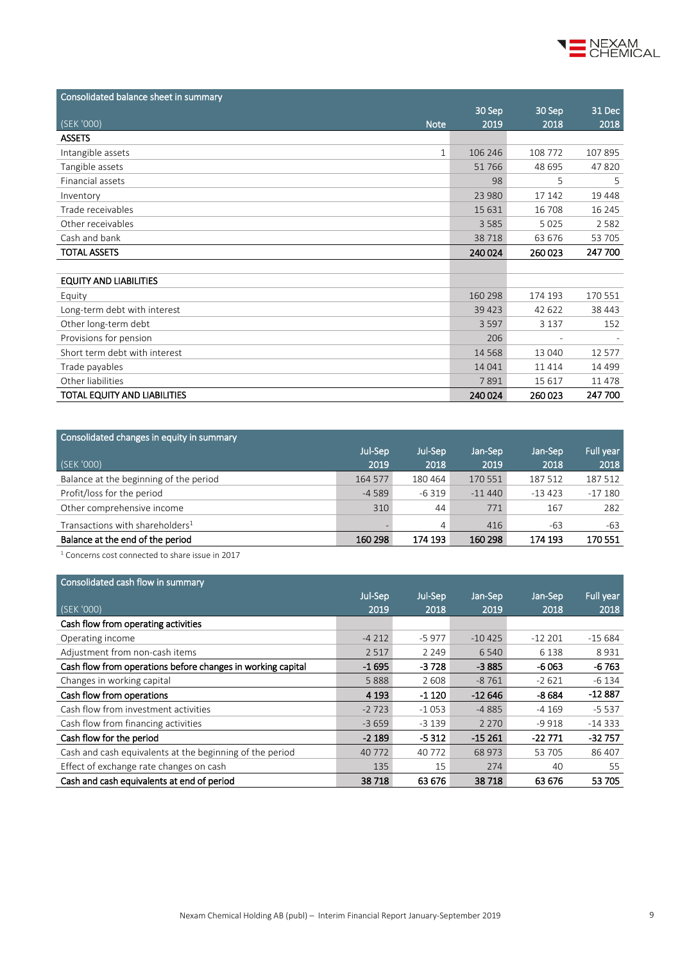

| Consolidated balance sheet in summary |         |         |          |
|---------------------------------------|---------|---------|----------|
|                                       | 30 Sep  | 30 Sep  | 31 Dec   |
| (SEK '000)<br><b>Note</b>             | 2019    | 2018    | 2018     |
| <b>ASSETS</b>                         |         |         |          |
| Intangible assets<br>$\mathbf{1}$     | 106 246 | 108 772 | 107 895  |
| Tangible assets                       | 51766   | 48 695  | 47820    |
| Financial assets                      | 98      | 5       | 5        |
| Inventory                             | 23 980  | 17 142  | 19 4 48  |
| Trade receivables                     | 15 631  | 16 708  | 16 245   |
| Other receivables                     | 3585    | 5 0 2 5 | 2582     |
| Cash and bank                         | 38718   | 63 676  | 53 705   |
| <b>TOTAL ASSETS</b>                   | 240 024 | 260023  | 247 700  |
|                                       |         |         |          |
| <b>EQUITY AND LIABILITIES</b>         |         |         |          |
| Equity                                | 160 298 | 174 193 | 170 551  |
| Long-term debt with interest          | 39423   | 42 622  | 38 443   |
| Other long-term debt                  | 3597    | 3 1 3 7 | 152      |
| Provisions for pension                | 206     |         |          |
| Short term debt with interest         | 14 5 68 | 13 040  | 12 577   |
| Trade payables                        | 14 04 1 | 11414   | 14 4 9 9 |
| Other liabilities                     | 7891    | 15 6 17 | 11 478   |
| TOTAL EQUITY AND LIABILITIES          | 240 024 | 260023  | 247 700  |

| Consolidated changes in equity in summary                                                                                                                                                                                         |         |         |          |          |           |
|-----------------------------------------------------------------------------------------------------------------------------------------------------------------------------------------------------------------------------------|---------|---------|----------|----------|-----------|
|                                                                                                                                                                                                                                   | Jul-Sep | Jul-Sep | Jan-Sep  | Jan-Sep  | Full year |
| (SEK '000)                                                                                                                                                                                                                        | 2019    | 2018    | 2019     | 2018     | 2018      |
| Balance at the beginning of the period                                                                                                                                                                                            | 164 577 | 180 464 | 170 551  | 187 512  | 187 512   |
| Profit/loss for the period                                                                                                                                                                                                        | $-4589$ | $-6319$ | $-11440$ | $-13423$ | $-17180$  |
| Other comprehensive income                                                                                                                                                                                                        | 310     | 44      | 771      | 167      | 282       |
| Transactions with shareholders <sup>1</sup>                                                                                                                                                                                       |         | 4       | 416      | $-63$    | $-63$     |
| Balance at the end of the period                                                                                                                                                                                                  | 160 298 | 174 193 | 160 298  | 174 193  | 170551    |
| $\frac{1}{2}$ . The contract of the contract of the contract of the contract of the contract of the contract of the contract of the contract of the contract of the contract of the contract of the contract of the contract of t |         |         |          |          |           |

 $^{\rm 1}$  Concerns cost connected to share issue in 2017

| Consolidated cash flow in summary                           |         |         |          |          |           |
|-------------------------------------------------------------|---------|---------|----------|----------|-----------|
|                                                             | Jul-Sep | Jul-Sep | Jan-Sep  | Jan-Sep  | Full year |
| (SEK '000)                                                  | 2019    | 2018    | 2019     | 2018     | 2018      |
| Cash flow from operating activities                         |         |         |          |          |           |
| Operating income                                            | $-4212$ | $-5977$ | $-10425$ | $-12201$ | $-15684$  |
| Adjustment from non-cash items                              | 2517    | 2 2 4 9 | 6 5 4 0  | 6 1 3 8  | 8931      |
| Cash flow from operations before changes in working capital | $-1695$ | $-3728$ | $-3885$  | $-6063$  | $-6763$   |
| Changes in working capital                                  | 5888    | 2608    | $-8761$  | $-2621$  | $-6134$   |
| Cash flow from operations                                   | 4 1 9 3 | $-1120$ | $-12646$ | $-8684$  | $-12887$  |
| Cash flow from investment activities                        | $-2723$ | $-1053$ | $-4885$  | $-4169$  | $-5537$   |
| Cash flow from financing activities                         | $-3659$ | $-3139$ | 2 2 7 0  | -9 918   | $-14333$  |
| Cash flow for the period                                    | $-2189$ | $-5312$ | $-15261$ | $-22771$ | $-32757$  |
| Cash and cash equivalents at the beginning of the period    | 40 7 72 | 40 772  | 68 973   | 53 705   | 86 407    |
| Effect of exchange rate changes on cash                     | 135     | 15      | 274      | 40       | 55        |
| Cash and cash equivalents at end of period                  | 38718   | 63 676  | 38718    | 63 676   | 53 705    |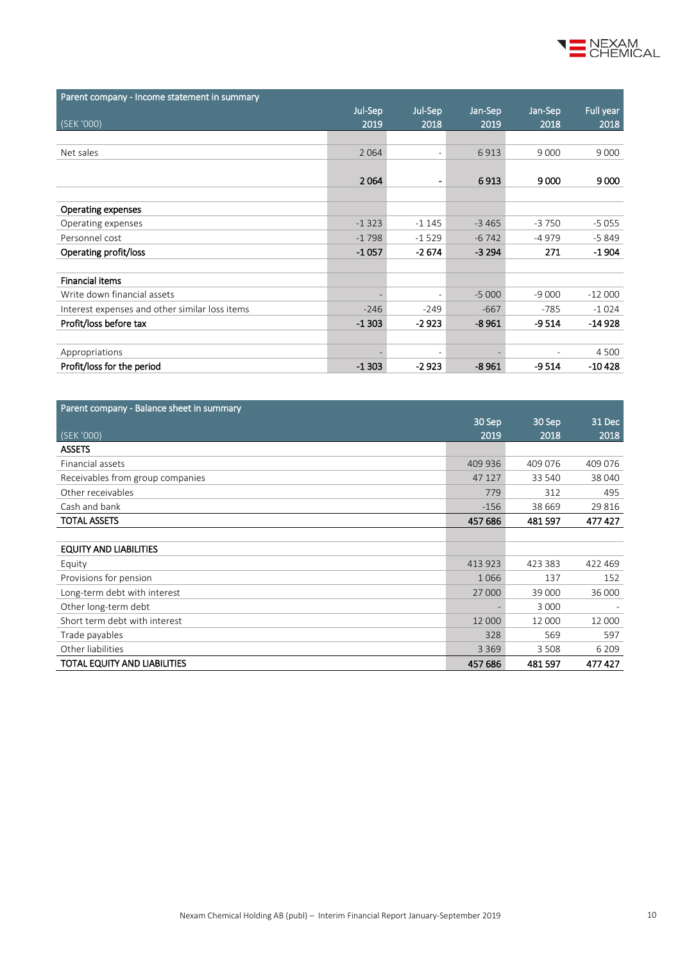

| Parent company - Income statement in summary   |         |                          |         |         |           |
|------------------------------------------------|---------|--------------------------|---------|---------|-----------|
|                                                | Jul-Sep | Jul-Sep                  | Jan-Sep | Jan-Sep | Full year |
| (SEK '000)                                     | 2019    | 2018                     | 2019    | 2018    | 2018      |
|                                                |         |                          |         |         |           |
| Net sales                                      | 2 0 6 4 | $\overline{\phantom{a}}$ | 6913    | 9 0 0 0 | 9 0 0 0   |
|                                                |         |                          |         |         |           |
|                                                | 2064    | $\blacksquare$           | 6913    | 9000    | 9000      |
|                                                |         |                          |         |         |           |
| <b>Operating expenses</b>                      |         |                          |         |         |           |
| Operating expenses                             | $-1323$ | $-1145$                  | $-3465$ | $-3750$ | $-5055$   |
| Personnel cost                                 | $-1798$ | $-1529$                  | $-6742$ | -4979   | $-5849$   |
| Operating profit/loss                          | $-1057$ | $-2674$                  | $-3294$ | 271     | $-1904$   |
|                                                |         |                          |         |         |           |
| <b>Financial items</b>                         |         |                          |         |         |           |
| Write down financial assets                    |         | $\overline{\phantom{a}}$ | $-5000$ | $-9000$ | $-12000$  |
| Interest expenses and other similar loss items | $-246$  | $-249$                   | $-667$  | $-785$  | $-1024$   |
| Profit/loss before tax                         | $-1303$ | $-2923$                  | $-8961$ | $-9514$ | $-14928$  |
|                                                |         |                          |         |         |           |
| Appropriations                                 |         | $\overline{\phantom{a}}$ |         |         | 4 5 0 0   |
| Profit/loss for the period                     | $-1303$ | $-2923$                  | $-8961$ | $-9514$ | $-10428$  |

| Parent company - Balance sheet in summary |         |         |         |
|-------------------------------------------|---------|---------|---------|
|                                           | 30 Sep  | 30 Sep  | 31 Dec  |
| (SEK '000)                                | 2019    | 2018    | 2018    |
| <b>ASSETS</b>                             |         |         |         |
| Financial assets                          | 409 936 | 409 076 | 409 076 |
| Receivables from group companies          | 47 127  | 33 540  | 38 040  |
| Other receivables                         | 779     | 312     | 495     |
| Cash and bank                             | $-156$  | 38 669  | 29 8 16 |
| <b>TOTAL ASSETS</b>                       | 457 686 | 481597  | 477427  |
|                                           |         |         |         |
| <b>EQUITY AND LIABILITIES</b>             |         |         |         |
| Equity                                    | 413 923 | 423 383 | 422 469 |
| Provisions for pension                    | 1066    | 137     | 152     |
| Long-term debt with interest              | 27 000  | 39 000  | 36 000  |
| Other long-term debt                      |         | 3 0 0 0 |         |
| Short term debt with interest             | 12 000  | 12 000  | 12 000  |
| Trade payables                            | 328     | 569     | 597     |
| Other liabilities                         | 3 3 6 9 | 3 5 0 8 | 6 2 0 9 |
| TOTAL EQUITY AND LIABILITIES              | 457 686 | 481 597 | 477 427 |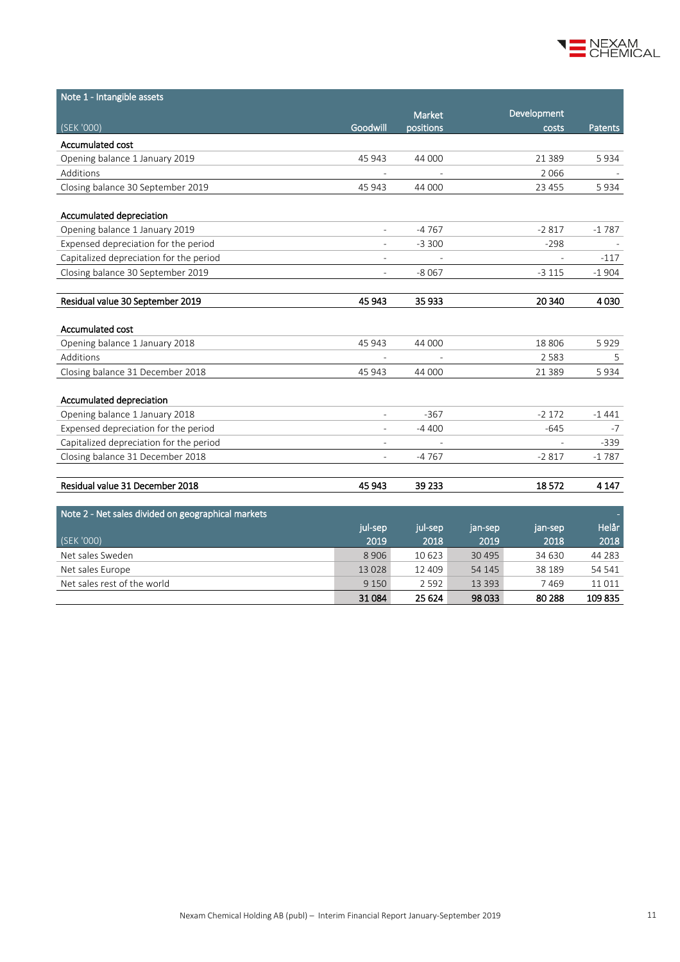

| Note 1 - Intangible assets                         |                          |               |          |             |         |
|----------------------------------------------------|--------------------------|---------------|----------|-------------|---------|
|                                                    |                          | <b>Market</b> |          | Development |         |
| (SEK '000)                                         | Goodwill                 | positions     |          | costs       | Patents |
| Accumulated cost                                   |                          |               |          |             |         |
| Opening balance 1 January 2019                     | 45 943                   | 44 000        |          | 21 3 8 9    | 5934    |
| Additions                                          | $\overline{\phantom{a}}$ |               |          | 2 0 6 6     |         |
| Closing balance 30 September 2019                  | 45 943                   | 44 000        |          | 23 455      | 5934    |
| Accumulated depreciation                           |                          |               |          |             |         |
| Opening balance 1 January 2019                     |                          | -4767         |          | $-2817$     | $-1787$ |
| Expensed depreciation for the period               | $\overline{\phantom{a}}$ | $-3300$       |          | $-298$      |         |
| Capitalized depreciation for the period            | $\overline{\phantom{a}}$ |               |          |             | $-117$  |
| Closing balance 30 September 2019                  | $\overline{\phantom{a}}$ | $-8067$       |          | $-3115$     | $-1904$ |
|                                                    |                          |               |          |             |         |
| Residual value 30 September 2019                   | 45 943                   | 35 933        |          | 20 340      | 4030    |
| Accumulated cost                                   |                          |               |          |             |         |
| Opening balance 1 January 2018                     | 45 943                   | 44 000        |          | 18 8 06     | 5929    |
| Additions                                          |                          |               |          | 2 5 8 3     | 5       |
| Closing balance 31 December 2018                   | 45 943                   | 44 000        |          | 21 3 8 9    | 5934    |
|                                                    |                          |               |          |             |         |
| Accumulated depreciation                           |                          |               |          |             |         |
| Opening balance 1 January 2018                     |                          | $-367$        |          | $-2172$     | $-1441$ |
| Expensed depreciation for the period               |                          | -4 400        |          | $-645$      | $-7$    |
| Capitalized depreciation for the period            | L,                       |               |          |             | $-339$  |
| Closing balance 31 December 2018                   | $\overline{\phantom{a}}$ | $-4767$       |          | $-2817$     | $-1787$ |
|                                                    |                          |               |          |             |         |
| Residual value 31 December 2018                    | 45 943                   | 39 233        |          | 18572       | 4 1 4 7 |
| Note 2 - Net sales divided on geographical markets |                          |               |          |             |         |
|                                                    | jul-sep                  | jul-sep       | jan-sep  | jan-sep     | Helår   |
| (SEK '000)                                         | 2019                     | 2018          | 2019     | 2018        | 2018    |
| Net sales Sweden                                   | 8 9 0 6                  | 10 623        | 30 4 95  | 34 630      | 44 28 3 |
| Net sales Europe                                   | 13028                    | 12 409        | 54 145   | 38 189      | 54 541  |
| Net sales rest of the world                        | 9 1 5 0                  | 2592          | 13 3 9 3 | 7469        | 11011   |
|                                                    | 31084                    | 25 6 24       | 98 033   | 80 288      | 109835  |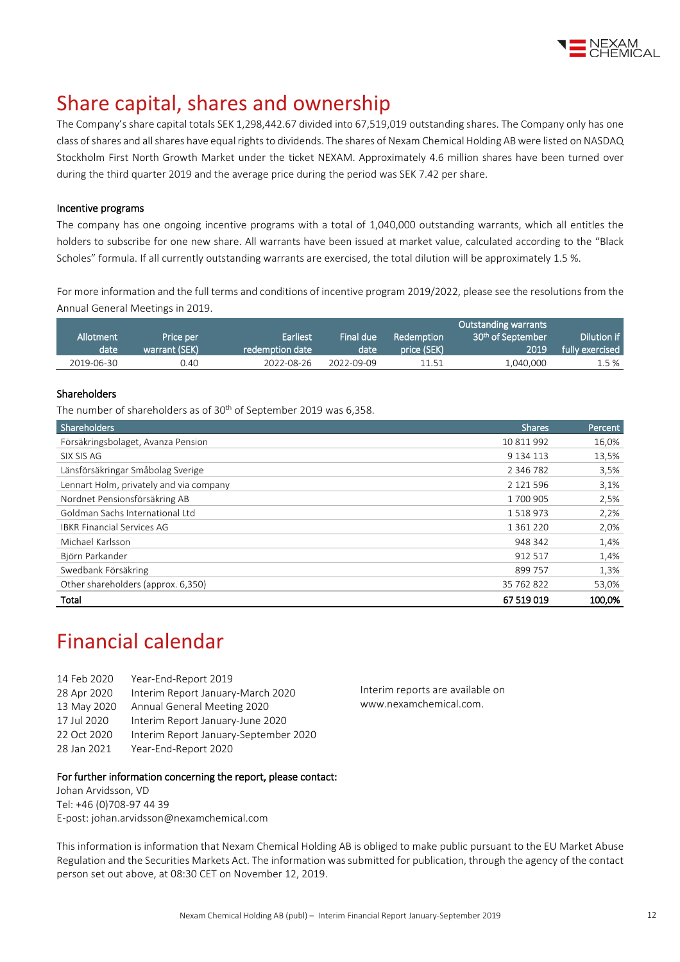

## Share capital, shares and ownership

The Company's share capital totals SEK 1,298,442.67 divided into 67,519,019 outstanding shares. The Company only has one class of shares and all shares have equal rights to dividends. The shares of Nexam Chemical Holding AB were listed on NASDAQ Stockholm First North Growth Market under the ticket NEXAM. Approximately 4.6 million shares have been turned over during the third quarter 2019 and the average price during the period was SEK 7.42 per share.

#### Incentive programs

The company has one ongoing incentive programs with a total of 1,040,000 outstanding warrants, which all entitles the holders to subscribe for one new share. All warrants have been issued at market value, calculated according to the "Black Scholes" formula. If all currently outstanding warrants are exercised, the total dilution will be approximately 1.5 %.

For more information and the full terms and conditions of incentive program 2019/2022, please see the resolutions from the Annual General Meetings i[n 2019.](http://www.nexamchemical.com/secure/CMS/?language=en#context=epi.cms.contentdata:///245&viewsetting=active:///true)

|            |               |                 |            |             | <b>Outstanding warrants</b>   |                 |
|------------|---------------|-----------------|------------|-------------|-------------------------------|-----------------|
| Allotment  | Price per     | Earliest        | Final due  | Redemption  | 30 <sup>th</sup> of September | Dilution if     |
| date       | warrant (SEK) | redemption date | date       | price (SEK) | 2019                          | fully exercised |
| 2019-06-30 | 0.40          | 2022-08-26      | 2022-09-09 | 11.51       | 1.040.000                     | 1.5 %           |

#### Shareholders

The number of shareholders as of 30<sup>th</sup> of September 2019 was 6,358.

| Shareholders                            | <b>Shares</b> | Percent |
|-----------------------------------------|---------------|---------|
| Försäkringsbolaget, Avanza Pension      | 10 811 992    | 16,0%   |
| SIX SIS AG                              | 9 134 113     | 13,5%   |
| Länsförsäkringar Småbolag Sverige       | 2 3 4 6 7 8 2 | 3,5%    |
| Lennart Holm, privately and via company | 2 1 2 1 5 9 6 | 3,1%    |
| Nordnet Pensionsförsäkring AB           | 1700905       | 2,5%    |
| Goldman Sachs International Ltd         | 1518973       | 2,2%    |
| <b>IBKR Financial Services AG</b>       | 1 3 6 1 2 2 0 | 2,0%    |
| Michael Karlsson                        | 948 342       | 1,4%    |
| Björn Parkander                         | 912 517       | 1,4%    |
| Swedbank Försäkring                     | 899 757       | 1,3%    |
| Other shareholders (approx. 6,350)      | 35 762 822    | 53,0%   |
| Total                                   | 67 519 019    | 100.0%  |

# Financial calendar

14 Feb 2020 Year-End-Report 2019 28 Apr 2020 Interim Report January-March 2020 13 May 2020 Annual General Meeting 2020 17 Jul 2020 Interim Report January-June 2020 22 Oct 2020 Interim Report January-September 2020 28 Jan 2021 Year-End-Report 2020

Interim reports are available on www.nexamchemical.com.

#### For further information concerning the report, please contact:

Johan Arvidsson, VD Tel: +46 (0)708-97 44 39 E-post: johan.arvidsson@nexamchemical.com

This information is information that Nexam Chemical Holding AB is obliged to make public pursuant to the EU Market Abuse Regulation and the Securities Markets Act. The information was submitted for publication, through the agency of the contact person set out above, at 08:30 CET on November 12, 2019.